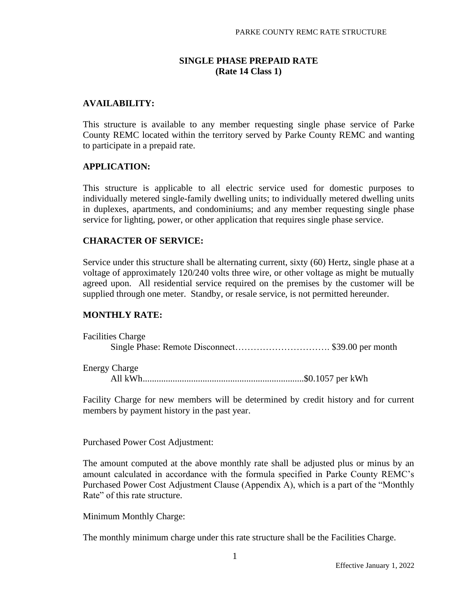## **SINGLE PHASE PREPAID RATE (Rate 14 Class 1)**

## **AVAILABILITY:**

This structure is available to any member requesting single phase service of Parke County REMC located within the territory served by Parke County REMC and wanting to participate in a prepaid rate.

#### **APPLICATION:**

This structure is applicable to all electric service used for domestic purposes to individually metered single-family dwelling units; to individually metered dwelling units in duplexes, apartments, and condominiums; and any member requesting single phase service for lighting, power, or other application that requires single phase service.

#### **CHARACTER OF SERVICE:**

Service under this structure shall be alternating current, sixty (60) Hertz, single phase at a voltage of approximately 120/240 volts three wire, or other voltage as might be mutually agreed upon. All residential service required on the premises by the customer will be supplied through one meter. Standby, or resale service, is not permitted hereunder.

#### **MONTHLY RATE:**

| <b>Facilities Charge</b> |  |
|--------------------------|--|
|                          |  |
|                          |  |
| <b>Energy Charge</b>     |  |
| All $kWh$                |  |

Facility Charge for new members will be determined by credit history and for current members by payment history in the past year.

Purchased Power Cost Adjustment:

The amount computed at the above monthly rate shall be adjusted plus or minus by an amount calculated in accordance with the formula specified in Parke County REMC's Purchased Power Cost Adjustment Clause (Appendix A), which is a part of the "Monthly Rate" of this rate structure.

Minimum Monthly Charge:

The monthly minimum charge under this rate structure shall be the Facilities Charge.